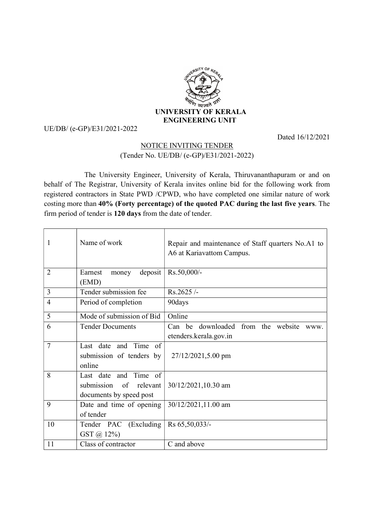

## UE/DB/ (e-GP)/E31/2021-2022

Dated 16/12/2021

## NOTICE INVITING TENDER (Tender No. UE/DB/ (e-GP)/E31/2021-2022)

 The University Engineer, University of Kerala, Thiruvananthapuram or and on behalf of The Registrar, University of Kerala invites online bid for the following work from registered contractors in State PWD /CPWD, who have completed one similar nature of work costing more than 40% (Forty percentage) of the quoted PAC during the last five years. The firm period of tender is 120 days from the date of tender.

| 1              | Name of work                                                               | Repair and maintenance of Staff quarters No.A1 to<br>A6 at Kariavattom Campus. |
|----------------|----------------------------------------------------------------------------|--------------------------------------------------------------------------------|
| $\overline{2}$ | deposit<br>Earnest<br>money<br>(EMD)                                       | Rs.50,000/-                                                                    |
| 3              | Tender submission fee                                                      | Rs.2625/-                                                                      |
| $\overline{4}$ | Period of completion                                                       | 90days                                                                         |
| 5              | Mode of submission of Bid                                                  | Online                                                                         |
| 6              | <b>Tender Documents</b>                                                    | Can be downloaded from the website<br>www.<br>etenders.kerala.gov.in           |
| 7              | Last date and Time of<br>submission of tenders by<br>online                | 27/12/2021,5.00 pm                                                             |
| 8              | Last date and Time of<br>submission of relevant<br>documents by speed post | 30/12/2021,10.30 am                                                            |
| 9              | Date and time of opening<br>of tender                                      | 30/12/2021,11.00 am                                                            |
| 10             | Tender PAC (Excluding<br>GST @ 12%)                                        | Rs 65,50,033/-                                                                 |
| 11             | Class of contractor                                                        | C and above                                                                    |